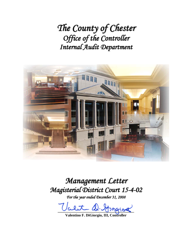*The County of Chester Office of the Controller Internal Audit Department*



*Management Letter Magisterial District Court 15-4-02*

*For the year ended December 31, 2008*

alet D. Grapiot

**Valentino F. DiGiorgio, III, Controller**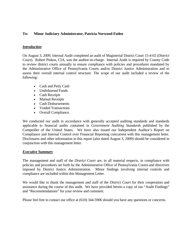### **To: Minor Judiciary Administrator, Patricia Norwood-Foden**

### *Introduction*

On August 3, 2009, Internal Audit completed an audit of Magisterial District Court 15-4-02 (*District Court*). Robert Pinkos, CIA, was the auditor-in-charge. Internal Audit is required by County Code to review district courts annually to ensure compliance with policies and procedures mandated by the Administrative Office of Pennsylvania Courts and/or District Justice Administration and to assess their overall internal control structure. The scope of our audit included a review of the following:

- Cash and Petty Cash
- Undisbursed Funds
- Cash Receipts
- Manual Receipts
- Cash Disbursements
- Voided Transactions
- Overall Compliance.

We conducted our audit in accordance with generally accepted auditing standards and standards applicable to financial audits contained in *Government Auditing Standards* published by the Comptoller of the United States. We have also issued our Independent Auditor's Report on Compliance and Internal Control over Financial Reporting concurrent with this management letter. Disclosures and other information in this report (also dated August 3, 2009) should be considered in conjunction with this management letter.

#### *Executive Summary*

The management and staff of the *District Court* are, in all material respects, in compliance with policies and procedures set forth by the Administrative Office of Pennsylvania Courts and directives imposed by District Justice Administration. Minor findings involving internal controls and compliance are included within this Management Letter.

We would like to thank the management and staff of the *District Court* for their cooperation and assistance during the course of this audit. We have provided herein a copy of our "Audit Findings" and "Recommendations" for your review and comment.

Please feel free to contact our office at (610) 344-5906 should you have any questions or concerns.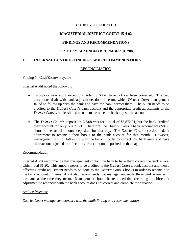# **MAGISTERIAL DISTRICT COURT 15-4-02**

# **FINDINGS AND RECOMMENDATIONS**

### **FOR THE YEAR ENDED DECEMBER 31, 2008**

### **I. INTERNAL CONTROL FINDINGS AND RECOMMENDATIONS**

### RECONCILIATION

#### Finding 1: Cash/Escrow Payable

Internal Audit noted the following:

- Two prior year audit exceptions, totaling \$0.70 have not yet been corrected. The two exceptions dealt with bank adjustments done in error, which *District Court* management failed to follow up with the bank and have the bank correct them.The \$0.70 needs to be credited to the *District Court's* bank account and the appropriate credit adjustments to the *District Court's* books should also be made once the bank adjusts the account.
- The *District Court's* deposit on 7/7/08 was for a total of \$6,872.21, but the bank credited their account for only \$6,871.71. Therefore, the *District Court's* bank account was \$0.50 short of the actual amount deposited for that day. The *District Court* recorded a debit adjustment to reconcile their books to the bank account for that month. However, management did not follow up with the bank in order to correct this bank error and have their accout adjusted to reflect the correct amount deposited on that day.

#### Recommendation

Internal Audit recommends that management contact the bank to have them correct the bank errors, which total \$1.20. This amount needs to be credited to the *District Court's* bank account and then a offsetting credit adjustment needs to be done to the *District Court's* books in order to reconcile to the bank account. Internal Audit also recommends that management retify these bank errors with the bank at the time they occur. Management should be reminded that recording a debit/credit adjustment to reconcile with the bank account does not correct and complete the situation.

#### *Auditee Response*

*District Court management concurs with the audit finding and recommendation.*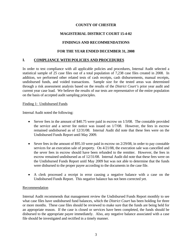# **MAGISTERIAL DISTRICT COURT 15-4-02**

# **FINDINGS AND RECOMMENDATIONS**

### **FOR THE YEAR ENDED DECEMBER 31, 2008**

### **I. COMPLIANCE WITH POLICIES AND PROCEDURES**

In order to test compliance with all applicable policies and procedures, Internal Audit selected a statistical sample of 25 case files out of a total population of 7,238 case files created in 2008. In addition, we performed other related tests of cash receipts, cash disbursements, manual receipts, undisbursed funds, and voided transactions. Sample size for the tested areas was determined through a risk assessment analysis based on the results of the *District Court's* prior year audit and current year case load. We believe the results of our tests are representative of the entire population on the basis of accepted audit sampling principles.

#### Finding 1: Undisbursed Funds

Internal Audit noted the following:

- Server fees in the amount of  $$40.75$  were paid in escrow on  $1/3/08$ . The constable provided the service and a server fee notice was issued on 1/7/08. However, the fees in escrow remained undisbursed as of 12/31/08. Internal Audit did note that these fees were on the Undisbursed Funds Report until May 2009.
- Sever fees in the amount of \$95.10 were paid in escrow on 2/29/08, in order to pay constable services for an execution sale of property. On 4/21/08, the execution sale was cancelled and the sever fees in escrow should have been refunded to the remitter. However, the fees in escrow remained undisbursed as of 12/31/08. Internal Audit did note that these fees were on the Undisbursed Funds Report unitl May 2009 but was not able to determine that the funds were disbursed to the proper payee according to the documents in the case file.
- A clerk processed a receipt in error causing a negative balance with a case on the Undisbursed Funds Report. This negative balance has not been corrected yet.

### Recommendation

Internal Audit recommends that management review the Undisbursed Funds Report monthly to see what case files have undisbursed fund balances, which the *District Court* has been holding for three or more months. These case files should be reviewed to make sure that the funds are being held for an appropriate reason. If the case is closed or services have been completed, the funds should be disbursed to the appropriate payee immediately. Also, any negative balance associated with a case file should be investigated and rectified in a timely manner.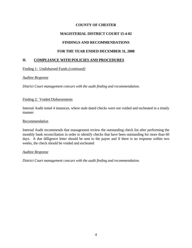# **MAGISTERIAL DISTRICT COURT 15-4-02**

# **FINDINGS AND RECOMMENDATIONS**

## **FOR THE YEAR ENDED DECEMBER 31, 2008**

## **II. COMPLIANCE WITH POLICIES AND PROCEDURES**

Finding 1: Undisbursed Funds *(continued)*

### *Auditee Response*

*District Court management concurs with the audit finding and recommendation.*

### Finding 2: Voided Disbursements

Internal Audit noted 4 instances, where stale dated checks were not voided and escheated in a timely manner.

### Recommendation

Internal Audit recommends that management review the outstanding check list after performing the monthly bank reconciliation in order to identify checks that have been outstanding for more than 60 days. A due dilligence letter should be sent to the payee and if there is no response within two weeks, the check should be voided and escheated

### *Auditee Response*

*District Court management concurs with the audit finding and recommendation.*